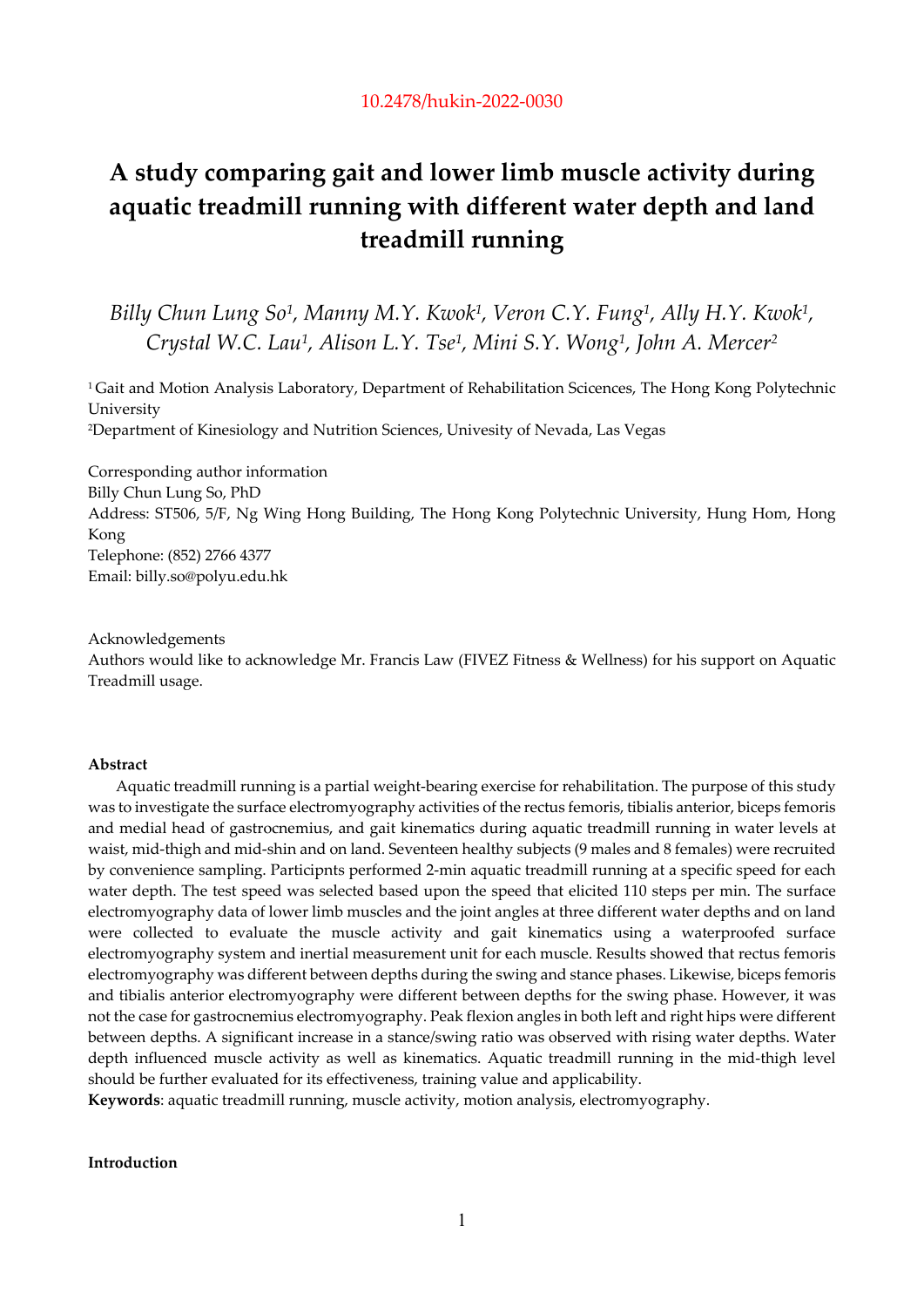# **A study comparing gait and lower limb muscle activity during aquatic treadmill running with different water depth and land treadmill running**

*Billy Chun Lung So1, Manny M.Y. Kwok1, Veron C.Y. Fung1, Ally H.Y. Kwok1, Crystal W.C. Lau1, Alison L.Y. Tse1, Mini S.Y. Wong1, John A. Mercer2*

<sup>1</sup> Gait and Motion Analysis Laboratory, Department of Rehabilitation Scicences, The Hong Kong Polytechnic University 2Department of Kinesiology and Nutrition Sciences, Univesity of Nevada, Las Vegas

Corresponding author information Billy Chun Lung So, PhD Address: ST506, 5/F, Ng Wing Hong Building, The Hong Kong Polytechnic University, Hung Hom, Hong Kong Telephone: (852) 2766 4377 Email: billy.so@polyu.edu.hk

Acknowledgements

Authors would like to acknowledge Mr. Francis Law (FIVEZ Fitness & Wellness) for his support on Aquatic Treadmill usage.

# **Abstract**

Aquatic treadmill running is a partial weight-bearing exercise for rehabilitation. The purpose of this study was to investigate the surface electromyography activities of the rectus femoris, tibialis anterior, biceps femoris and medial head of gastrocnemius, and gait kinematics during aquatic treadmill running in water levels at waist, mid-thigh and mid-shin and on land. Seventeen healthy subjects (9 males and 8 females) were recruited by convenience sampling. Participnts performed 2-min aquatic treadmill running at a specific speed for each water depth. The test speed was selected based upon the speed that elicited 110 steps per min. The surface electromyography data of lower limb muscles and the joint angles at three different water depths and on land were collected to evaluate the muscle activity and gait kinematics using a waterproofed surface electromyography system and inertial measurement unit for each muscle. Results showed that rectus femoris electromyography was different between depths during the swing and stance phases. Likewise, biceps femoris and tibialis anterior electromyography were different between depths for the swing phase. However, it was not the case for gastrocnemius electromyography. Peak flexion angles in both left and right hips were different between depths. A significant increase in a stance/swing ratio was observed with rising water depths. Water depth influenced muscle activity as well as kinematics. Aquatic treadmill running in the mid-thigh level should be further evaluated for its effectiveness, training value and applicability.

**Keywords**: aquatic treadmill running, muscle activity, motion analysis, electromyography.

# **Introduction**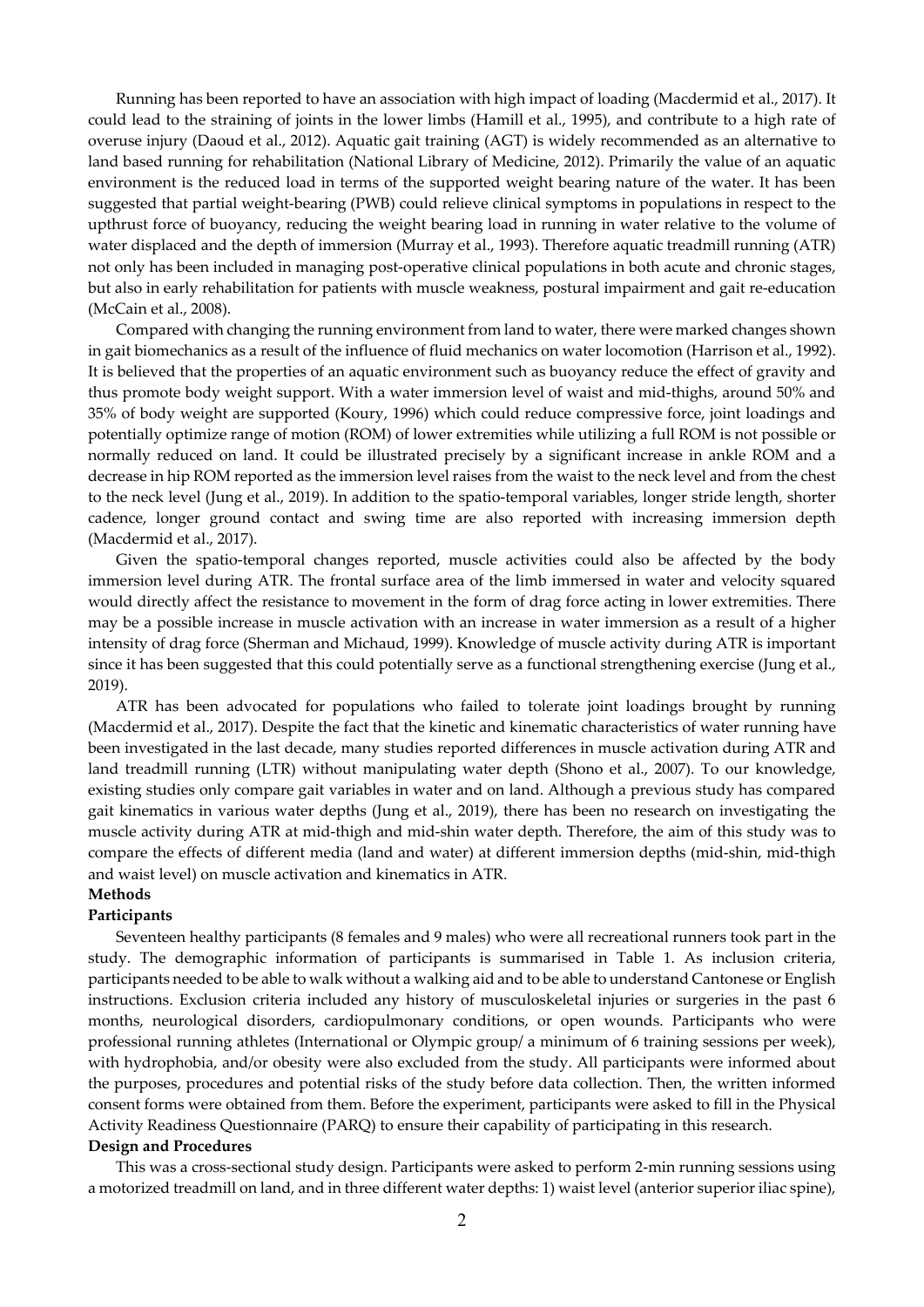Running has been reported to have an association with high impact of loading (Macdermid et al., 2017). It could lead to the straining of joints in the lower limbs (Hamill et al., 1995), and contribute to a high rate of overuse injury (Daoud et al., 2012). Aquatic gait training (AGT) is widely recommended as an alternative to land based running for rehabilitation (National Library of Medicine, 2012). Primarily the value of an aquatic environment is the reduced load in terms of the supported weight bearing nature of the water. It has been suggested that partial weight-bearing (PWB) could relieve clinical symptoms in populations in respect to the upthrust force of buoyancy, reducing the weight bearing load in running in water relative to the volume of water displaced and the depth of immersion (Murray et al., 1993). Therefore aquatic treadmill running (ATR) not only has been included in managing post-operative clinical populations in both acute and chronic stages, but also in early rehabilitation for patients with muscle weakness, postural impairment and gait re-education (McCain et al., 2008).

Compared with changing the running environment from land to water, there were marked changes shown in gait biomechanics as a result of the influence of fluid mechanics on water locomotion (Harrison et al., 1992). It is believed that the properties of an aquatic environment such as buoyancy reduce the effect of gravity and thus promote body weight support. With a water immersion level of waist and mid-thighs, around 50% and 35% of body weight are supported (Koury, 1996) which could reduce compressive force, joint loadings and potentially optimize range of motion (ROM) of lower extremities while utilizing a full ROM is not possible or normally reduced on land. It could be illustrated precisely by a significant increase in ankle ROM and a decrease in hip ROM reported as the immersion level raises from the waist to the neck level and from the chest to the neck level (Jung et al., 2019). In addition to the spatio-temporal variables, longer stride length, shorter cadence, longer ground contact and swing time are also reported with increasing immersion depth (Macdermid et al., 2017).

Given the spatio-temporal changes reported, muscle activities could also be affected by the body immersion level during ATR. The frontal surface area of the limb immersed in water and velocity squared would directly affect the resistance to movement in the form of drag force acting in lower extremities. There may be a possible increase in muscle activation with an increase in water immersion as a result of a higher intensity of drag force (Sherman and Michaud, 1999). Knowledge of muscle activity during ATR is important since it has been suggested that this could potentially serve as a functional strengthening exercise (Jung et al., 2019).

ATR has been advocated for populations who failed to tolerate joint loadings brought by running (Macdermid et al., 2017). Despite the fact that the kinetic and kinematic characteristics of water running have been investigated in the last decade, many studies reported differences in muscle activation during ATR and land treadmill running (LTR) without manipulating water depth (Shono et al., 2007). To our knowledge, existing studies only compare gait variables in water and on land. Although a previous study has compared gait kinematics in various water depths (Jung et al., 2019), there has been no research on investigating the muscle activity during ATR at mid-thigh and mid-shin water depth. Therefore, the aim of this study was to compare the effects of different media (land and water) at different immersion depths (mid-shin, mid-thigh and waist level) on muscle activation and kinematics in ATR.

# **Methods**

# **Participants**

Seventeen healthy participants (8 females and 9 males) who were all recreational runners took part in the study. The demographic information of participants is summarised in Table 1. As inclusion criteria, participants needed to be able to walk without a walking aid and to be able to understand Cantonese or English instructions. Exclusion criteria included any history of musculoskeletal injuries or surgeries in the past 6 months, neurological disorders, cardiopulmonary conditions, or open wounds. Participants who were professional running athletes (International or Olympic group/ a minimum of 6 training sessions per week), with hydrophobia, and/or obesity were also excluded from the study. All participants were informed about the purposes, procedures and potential risks of the study before data collection. Then, the written informed consent forms were obtained from them. Before the experiment, participants were asked to fill in the Physical Activity Readiness Questionnaire (PARQ) to ensure their capability of participating in this research.

# **Design and Procedures**

This was a cross-sectional study design. Participants were asked to perform 2-min running sessions using a motorized treadmill on land, and in three different water depths: 1) waist level (anterior superior iliac spine),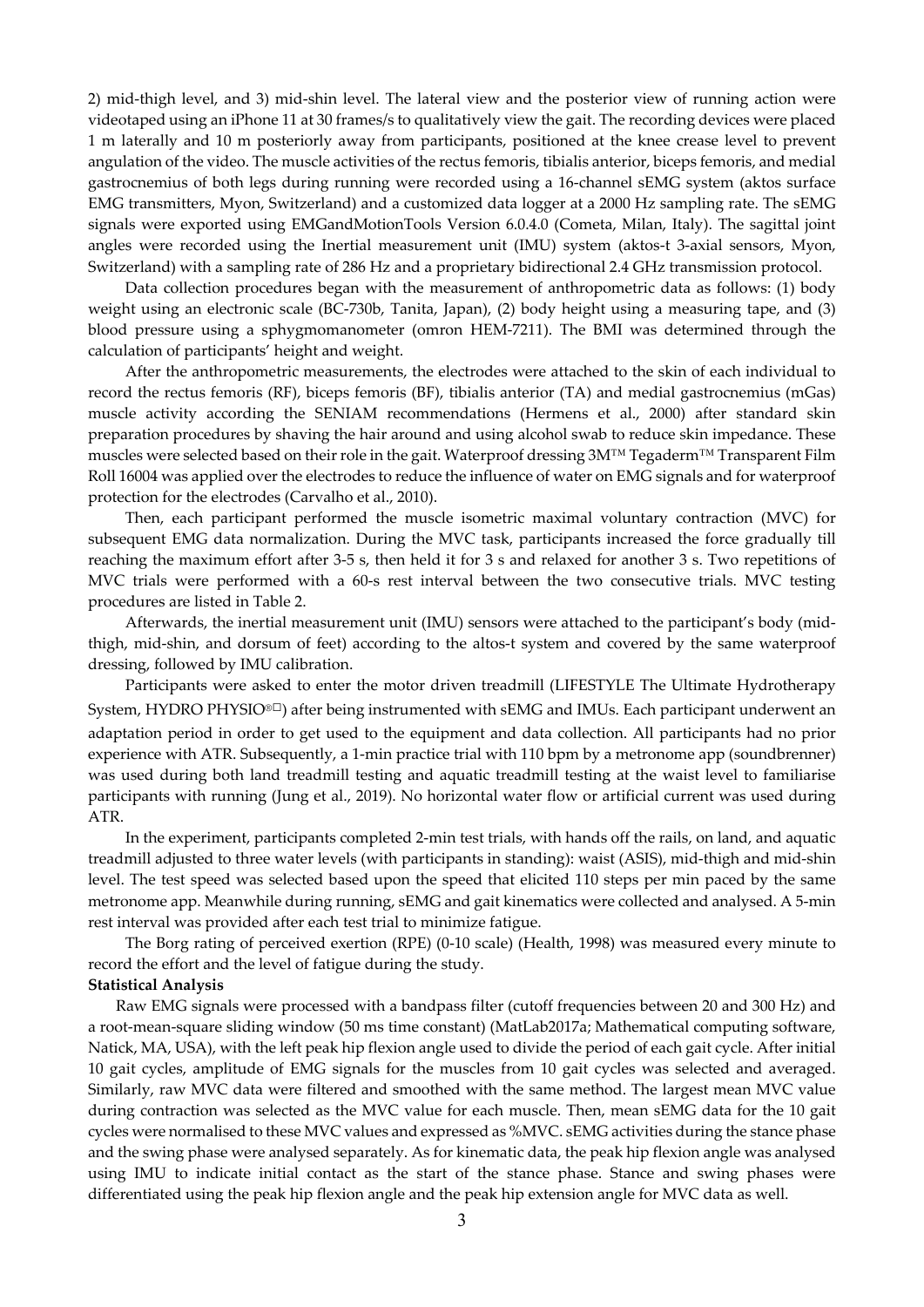2) mid-thigh level, and 3) mid-shin level. The lateral view and the posterior view of running action were videotaped using an iPhone 11 at 30 frames/s to qualitatively view the gait. The recording devices were placed 1 m laterally and 10 m posteriorly away from participants, positioned at the knee crease level to prevent angulation of the video. The muscle activities of the rectus femoris, tibialis anterior, biceps femoris, and medial gastrocnemius of both legs during running were recorded using a 16-channel sEMG system (aktos surface EMG transmitters, Myon, Switzerland) and a customized data logger at a 2000 Hz sampling rate. The sEMG signals were exported using EMGandMotionTools Version 6.0.4.0 (Cometa, Milan, Italy). The sagittal joint angles were recorded using the Inertial measurement unit (IMU) system (aktos-t 3-axial sensors, Myon, Switzerland) with a sampling rate of 286 Hz and a proprietary bidirectional 2.4 GHz transmission protocol.

Data collection procedures began with the measurement of anthropometric data as follows: (1) body weight using an electronic scale (BC-730b, Tanita, Japan), (2) body height using a measuring tape, and (3) blood pressure using a sphygmomanometer (omron HEM-7211). The BMI was determined through the calculation of participants' height and weight.

After the anthropometric measurements, the electrodes were attached to the skin of each individual to record the rectus femoris (RF), biceps femoris (BF), tibialis anterior (TA) and medial gastrocnemius (mGas) muscle activity according the SENIAM recommendations (Hermens et al., 2000) after standard skin preparation procedures by shaving the hair around and using alcohol swab to reduce skin impedance. These muscles were selected based on their role in the gait. Waterproof dressing 3M™ Tegaderm™ Transparent Film Roll 16004 was applied over the electrodes to reduce the influence of water on EMG signals and for waterproof protection for the electrodes (Carvalho et al., 2010).

Then, each participant performed the muscle isometric maximal voluntary contraction (MVC) for subsequent EMG data normalization. During the MVC task, participants increased the force gradually till reaching the maximum effort after 3-5 s, then held it for 3 s and relaxed for another 3 s. Two repetitions of MVC trials were performed with a 60-s rest interval between the two consecutive trials. MVC testing procedures are listed in Table 2.

 Afterwards, the inertial measurement unit (IMU) sensors were attached to the participant's body (midthigh, mid-shin, and dorsum of feet) according to the altos-t system and covered by the same waterproof dressing, followed by IMU calibration.

Participants were asked to enter the motor driven treadmill (LIFESTYLE The Ultimate Hydrotherapy System, HYDRO PHYSIO<sup>®□</sup>) after being instrumented with sEMG and IMUs. Each participant underwent an adaptation period in order to get used to the equipment and data collection. All participants had no prior experience with ATR. Subsequently, a 1-min practice trial with 110 bpm by a metronome app (soundbrenner) was used during both land treadmill testing and aquatic treadmill testing at the waist level to familiarise participants with running (Jung et al., 2019). No horizontal water flow or artificial current was used during ATR.

In the experiment, participants completed 2-min test trials, with hands off the rails, on land, and aquatic treadmill adjusted to three water levels (with participants in standing): waist (ASIS), mid-thigh and mid-shin level. The test speed was selected based upon the speed that elicited 110 steps per min paced by the same metronome app. Meanwhile during running, sEMG and gait kinematics were collected and analysed. A 5-min rest interval was provided after each test trial to minimize fatigue.

The Borg rating of perceived exertion (RPE) (0-10 scale) (Health, 1998) was measured every minute to record the effort and the level of fatigue during the study.

# **Statistical Analysis**

Raw EMG signals were processed with a bandpass filter (cutoff frequencies between 20 and 300 Hz) and a root-mean-square sliding window (50 ms time constant) (MatLab2017a; Mathematical computing software, Natick, MA, USA), with the left peak hip flexion angle used to divide the period of each gait cycle. After initial 10 gait cycles, amplitude of EMG signals for the muscles from 10 gait cycles was selected and averaged. Similarly, raw MVC data were filtered and smoothed with the same method. The largest mean MVC value during contraction was selected as the MVC value for each muscle. Then, mean sEMG data for the 10 gait cycles were normalised to these MVC values and expressed as %MVC. sEMG activities during the stance phase and the swing phase were analysed separately. As for kinematic data, the peak hip flexion angle was analysed using IMU to indicate initial contact as the start of the stance phase. Stance and swing phases were differentiated using the peak hip flexion angle and the peak hip extension angle for MVC data as well.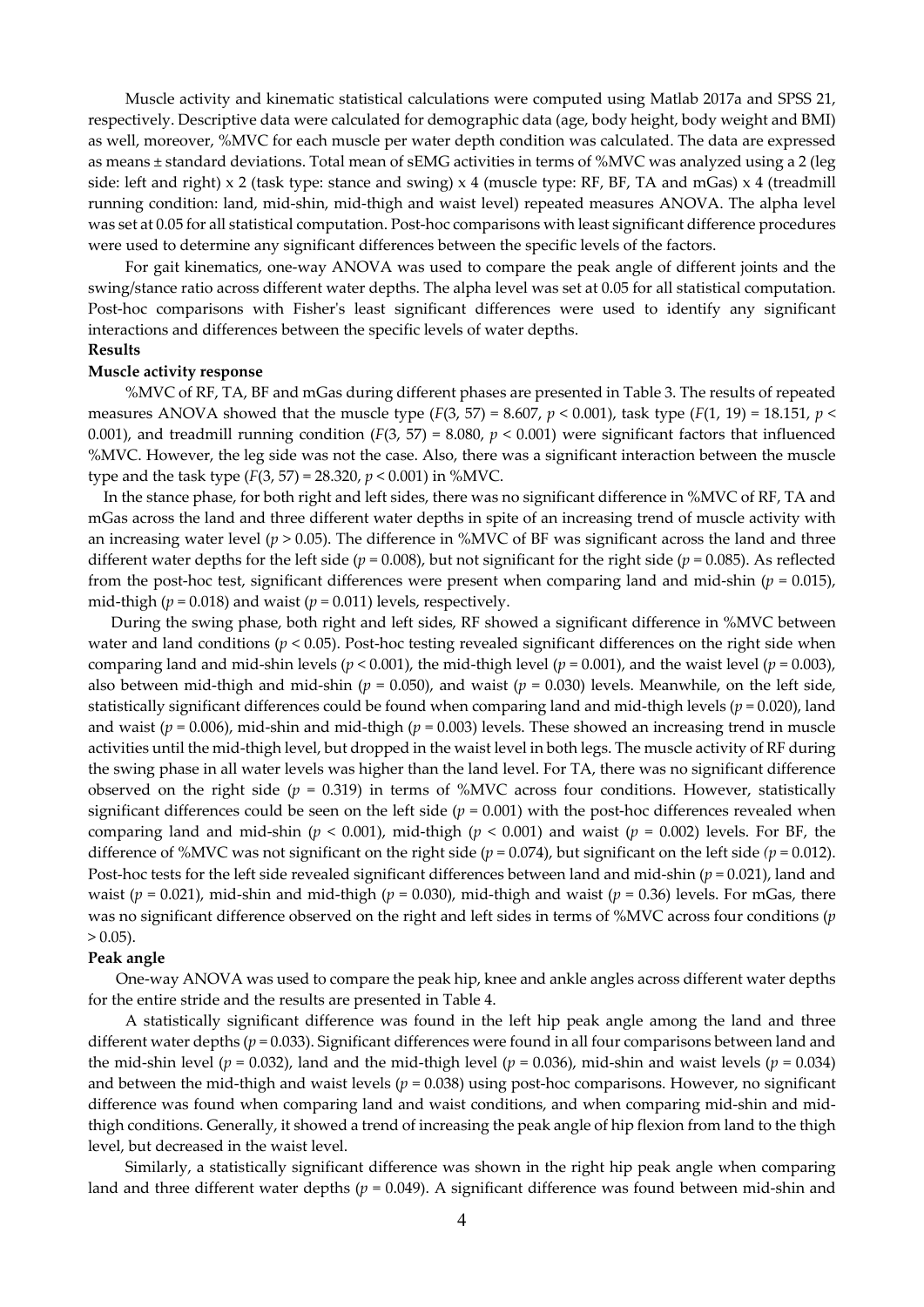Muscle activity and kinematic statistical calculations were computed using Matlab 2017a and SPSS 21, respectively. Descriptive data were calculated for demographic data (age, body height, body weight and BMI) as well, moreover, %MVC for each muscle per water depth condition was calculated. The data are expressed as means ± standard deviations. Total mean of sEMG activities in terms of %MVC was analyzed using a 2 (leg side: left and right) x 2 (task type: stance and swing) x 4 (muscle type: RF, BF, TA and mGas) x 4 (treadmill running condition: land, mid-shin, mid-thigh and waist level) repeated measures ANOVA. The alpha level was set at 0.05 for all statistical computation. Post-hoc comparisons with least significant difference procedures were used to determine any significant differences between the specific levels of the factors.

For gait kinematics, one-way ANOVA was used to compare the peak angle of different joints and the swing/stance ratio across different water depths. The alpha level was set at 0.05 for all statistical computation. Post-hoc comparisons with Fisher's least significant differences were used to identify any significant interactions and differences between the specific levels of water depths. **Results** 

#### **Muscle activity response**

%MVC of RF, TA, BF and mGas during different phases are presented in Table 3. The results of repeated measures ANOVA showed that the muscle type (*F*(3, 57) = 8.607,  $p$  < 0.001), task type (*F*(1, 19) = 18.151,  $p$  < 0.001), and treadmill running condition  $(F(3, 57) = 8.080, p < 0.001)$  were significant factors that influenced %MVC. However, the leg side was not the case. Also, there was a significant interaction between the muscle type and the task type (*F*(3, 57) = 28.320, *p* < 0.001) in %MVC.

In the stance phase, for both right and left sides, there was no significant difference in %MVC of RF, TA and mGas across the land and three different water depths in spite of an increasing trend of muscle activity with an increasing water level (*p* > 0.05). The difference in %MVC of BF was significant across the land and three different water depths for the left side ( $p = 0.008$ ), but not significant for the right side ( $p = 0.085$ ). As reflected from the post-hoc test, significant differences were present when comparing land and mid-shin (*p* = 0.015), mid-thigh ( $p = 0.018$ ) and waist ( $p = 0.011$ ) levels, respectively.

During the swing phase, both right and left sides, RF showed a significant difference in %MVC between water and land conditions ( $p < 0.05$ ). Post-hoc testing revealed significant differences on the right side when comparing land and mid-shin levels (*p* < 0.001), the mid-thigh level (*p* = 0.001), and the waist level (*p* = 0.003), also between mid-thigh and mid-shin ( $p = 0.050$ ), and waist ( $p = 0.030$ ) levels. Meanwhile, on the left side, statistically significant differences could be found when comparing land and mid-thigh levels (*p* = 0.020), land and waist ( $p = 0.006$ ), mid-shin and mid-thigh ( $p = 0.003$ ) levels. These showed an increasing trend in muscle activities until the mid-thigh level, but dropped in the waist level in both legs. The muscle activity of RF during the swing phase in all water levels was higher than the land level. For TA, there was no significant difference observed on the right side ( $p = 0.319$ ) in terms of %MVC across four conditions. However, statistically significant differences could be seen on the left side  $(p = 0.001)$  with the post-hoc differences revealed when comparing land and mid-shin ( $p < 0.001$ ), mid-thigh ( $p < 0.001$ ) and waist ( $p = 0.002$ ) levels. For BF, the difference of %MVC was not significant on the right side (*p* = 0.074), but significant on the left side *(p* = 0.012). Post-hoc tests for the left side revealed significant differences between land and mid-shin (*p* = 0.021), land and waist ( $p = 0.021$ ), mid-shin and mid-thigh ( $p = 0.030$ ), mid-thigh and waist ( $p = 0.36$ ) levels. For mGas, there was no significant difference observed on the right and left sides in terms of %MVC across four conditions (*p*  $> 0.05$ ).

#### **Peak angle**

One-way ANOVA was used to compare the peak hip, knee and ankle angles across different water depths for the entire stride and the results are presented in Table 4.

 A statistically significant difference was found in the left hip peak angle among the land and three different water depths ( $p = 0.033$ ). Significant differences were found in all four comparisons between land and the mid-shin level ( $p = 0.032$ ), land and the mid-thigh level ( $p = 0.036$ ), mid-shin and waist levels ( $p = 0.034$ ) and between the mid-thigh and waist levels (*p* = 0.038) using post-hoc comparisons. However, no significant difference was found when comparing land and waist conditions, and when comparing mid-shin and midthigh conditions. Generally, it showed a trend of increasing the peak angle of hip flexion from land to the thigh level, but decreased in the waist level.

Similarly, a statistically significant difference was shown in the right hip peak angle when comparing land and three different water depths ( $p = 0.049$ ). A significant difference was found between mid-shin and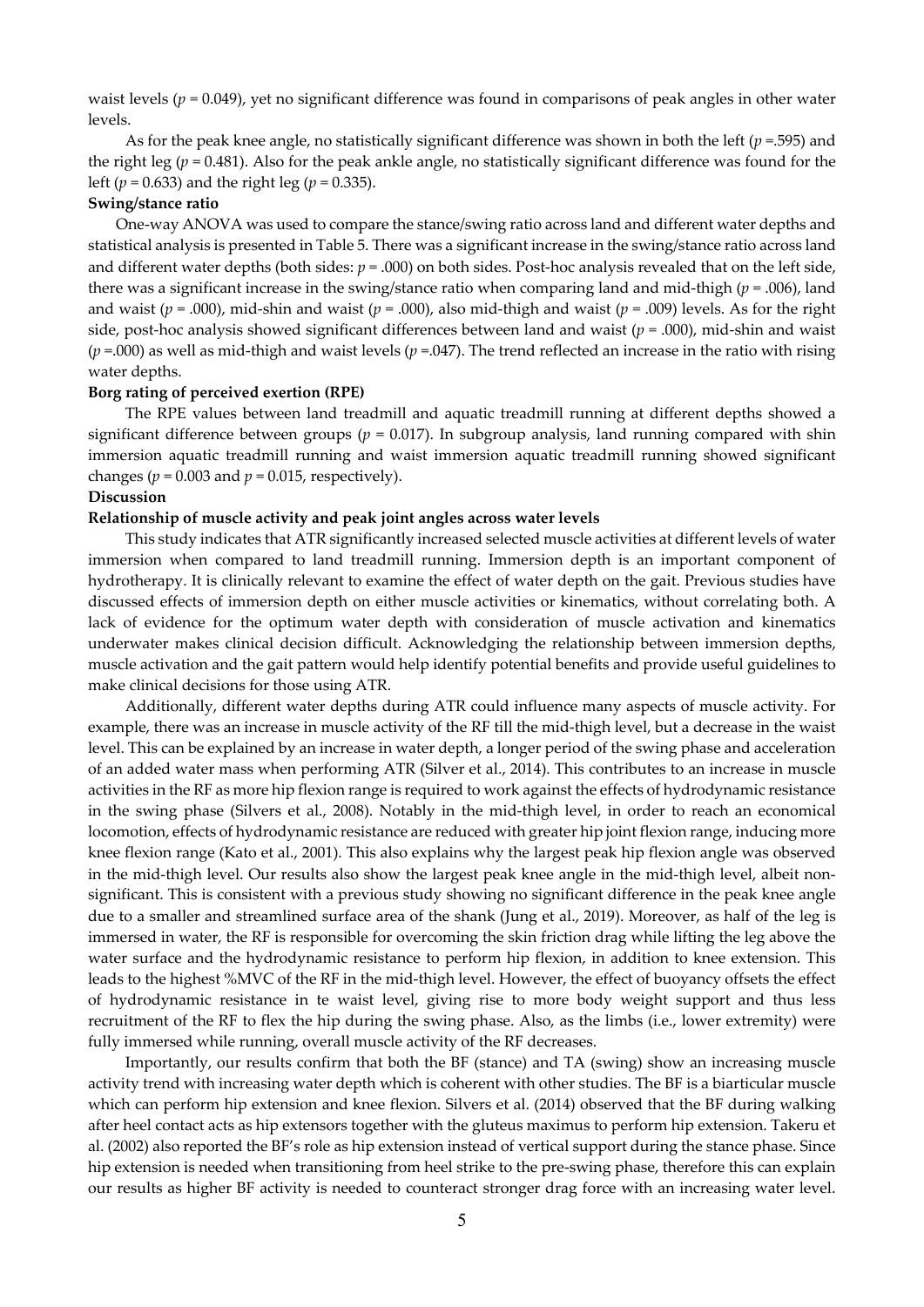waist levels (*p* = 0.049), yet no significant difference was found in comparisons of peak angles in other water levels.

As for the peak knee angle, no statistically significant difference was shown in both the left (*p* =.595) and the right leg (*p* = 0.481). Also for the peak ankle angle, no statistically significant difference was found for the left (*p* = 0.633) and the right leg (*p* = 0.335).

#### **Swing/stance ratio**

One-way ANOVA was used to compare the stance/swing ratio across land and different water depths and statistical analysis is presented in Table 5. There was a significant increase in the swing/stance ratio across land and different water depths (both sides:  $p = .000$ ) on both sides. Post-hoc analysis revealed that on the left side, there was a significant increase in the swing/stance ratio when comparing land and mid-thigh (*p* = .006), land and waist ( $p = .000$ ), mid-shin and waist ( $p = .000$ ), also mid-thigh and waist ( $p = .009$ ) levels. As for the right side, post-hoc analysis showed significant differences between land and waist (*p* = .000), mid-shin and waist  $(p = .000)$  as well as mid-thigh and waist levels  $(p = .047)$ . The trend reflected an increase in the ratio with rising water depths.

# **Borg rating of perceived exertion (RPE)**

 The RPE values between land treadmill and aquatic treadmill running at different depths showed a significant difference between groups ( $p = 0.017$ ). In subgroup analysis, land running compared with shin immersion aquatic treadmill running and waist immersion aquatic treadmill running showed significant changes ( $p = 0.003$  and  $p = 0.015$ , respectively).

# **Discussion**

#### **Relationship of muscle activity and peak joint angles across water levels**

This study indicates that ATR significantly increased selected muscle activities at different levels of water immersion when compared to land treadmill running. Immersion depth is an important component of hydrotherapy. It is clinically relevant to examine the effect of water depth on the gait. Previous studies have discussed effects of immersion depth on either muscle activities or kinematics, without correlating both. A lack of evidence for the optimum water depth with consideration of muscle activation and kinematics underwater makes clinical decision difficult. Acknowledging the relationship between immersion depths, muscle activation and the gait pattern would help identify potential benefits and provide useful guidelines to make clinical decisions for those using ATR.

Additionally, different water depths during ATR could influence many aspects of muscle activity. For example, there was an increase in muscle activity of the RF till the mid-thigh level, but a decrease in the waist level. This can be explained by an increase in water depth, a longer period of the swing phase and acceleration of an added water mass when performing ATR (Silver et al., 2014). This contributes to an increase in muscle activities in the RF as more hip flexion range is required to work against the effects of hydrodynamic resistance in the swing phase (Silvers et al., 2008). Notably in the mid-thigh level, in order to reach an economical locomotion, effects of hydrodynamic resistance are reduced with greater hip joint flexion range, inducing more knee flexion range (Kato et al., 2001). This also explains why the largest peak hip flexion angle was observed in the mid-thigh level. Our results also show the largest peak knee angle in the mid-thigh level, albeit nonsignificant. This is consistent with a previous study showing no significant difference in the peak knee angle due to a smaller and streamlined surface area of the shank (Jung et al., 2019). Moreover, as half of the leg is immersed in water, the RF is responsible for overcoming the skin friction drag while lifting the leg above the water surface and the hydrodynamic resistance to perform hip flexion, in addition to knee extension. This leads to the highest %MVC of the RF in the mid-thigh level. However, the effect of buoyancy offsets the effect of hydrodynamic resistance in te waist level, giving rise to more body weight support and thus less recruitment of the RF to flex the hip during the swing phase. Also, as the limbs (i.e., lower extremity) were fully immersed while running, overall muscle activity of the RF decreases.

Importantly, our results confirm that both the BF (stance) and TA (swing) show an increasing muscle activity trend with increasing water depth which is coherent with other studies. The BF is a biarticular muscle which can perform hip extension and knee flexion. Silvers et al. (2014) observed that the BF during walking after heel contact acts as hip extensors together with the gluteus maximus to perform hip extension. Takeru et al. (2002) also reported the BF's role as hip extension instead of vertical support during the stance phase. Since hip extension is needed when transitioning from heel strike to the pre-swing phase, therefore this can explain our results as higher BF activity is needed to counteract stronger drag force with an increasing water level.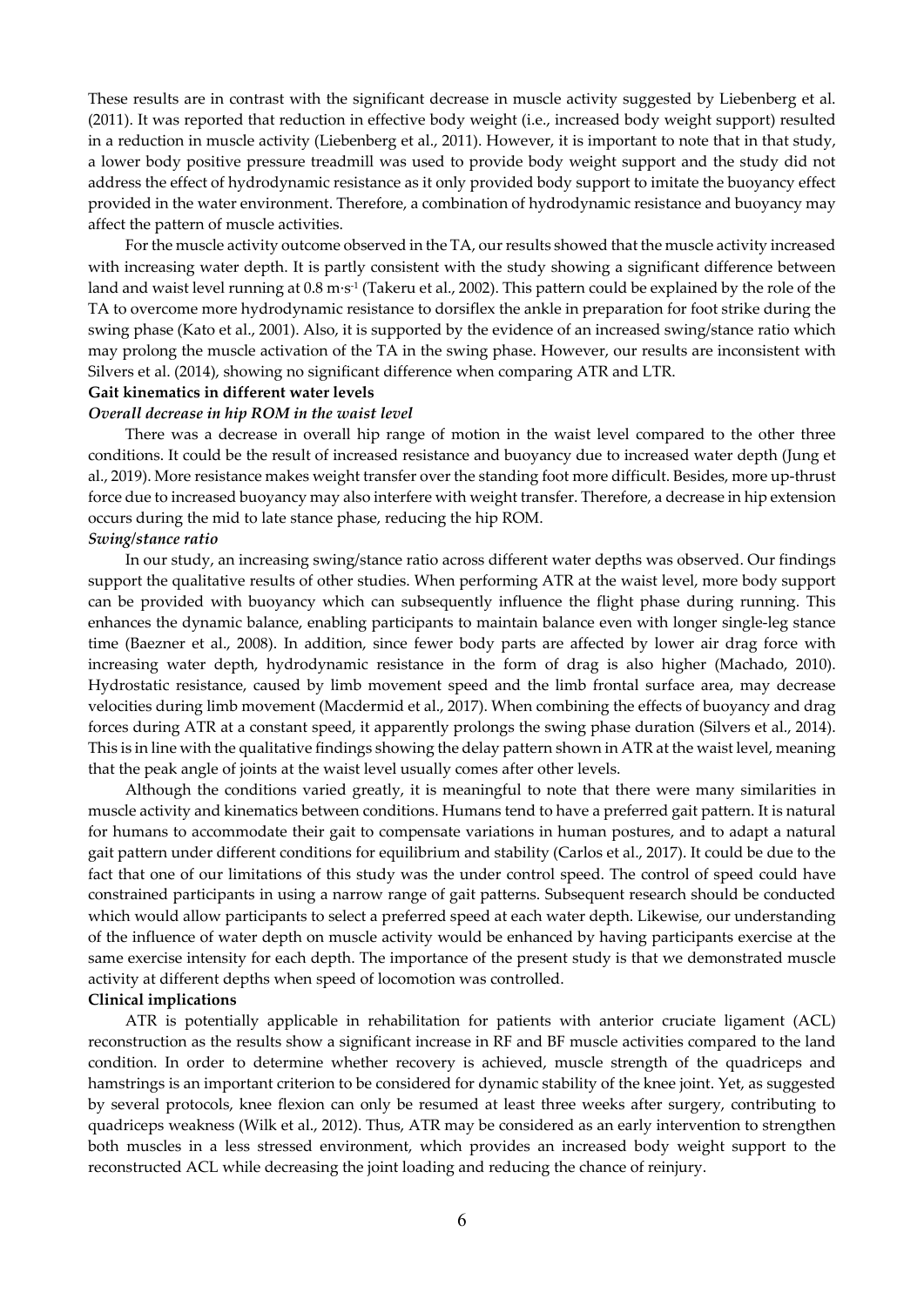These results are in contrast with the significant decrease in muscle activity suggested by Liebenberg et al. (2011). It was reported that reduction in effective body weight (i.e., increased body weight support) resulted in a reduction in muscle activity (Liebenberg et al., 2011). However, it is important to note that in that study, a lower body positive pressure treadmill was used to provide body weight support and the study did not address the effect of hydrodynamic resistance as it only provided body support to imitate the buoyancy effect provided in the water environment. Therefore, a combination of hydrodynamic resistance and buoyancy may affect the pattern of muscle activities.

For the muscle activity outcome observed in the TA, our results showed that the muscle activity increased with increasing water depth. It is partly consistent with the study showing a significant difference between land and waist level running at 0.8 m∙s-1 (Takeru et al., 2002). This pattern could be explained by the role of the TA to overcome more hydrodynamic resistance to dorsiflex the ankle in preparation for foot strike during the swing phase (Kato et al., 2001). Also, it is supported by the evidence of an increased swing/stance ratio which may prolong the muscle activation of the TA in the swing phase. However, our results are inconsistent with Silvers et al. (2014), showing no significant difference when comparing ATR and LTR.

### **Gait kinematics in different water levels**

### *Overall decrease in hip ROM in the waist level*

There was a decrease in overall hip range of motion in the waist level compared to the other three conditions. It could be the result of increased resistance and buoyancy due to increased water depth (Jung et al., 2019). More resistance makes weight transfer over the standing foot more difficult. Besides, more up-thrust force due to increased buoyancy may also interfere with weight transfer. Therefore, a decrease in hip extension occurs during the mid to late stance phase, reducing the hip ROM. *Swing/stance ratio* 

In our study, an increasing swing/stance ratio across different water depths was observed. Our findings support the qualitative results of other studies. When performing ATR at the waist level, more body support can be provided with buoyancy which can subsequently influence the flight phase during running. This enhances the dynamic balance, enabling participants to maintain balance even with longer single-leg stance time (Baezner et al., 2008). In addition, since fewer body parts are affected by lower air drag force with increasing water depth, hydrodynamic resistance in the form of drag is also higher (Machado, 2010). Hydrostatic resistance, caused by limb movement speed and the limb frontal surface area, may decrease velocities during limb movement (Macdermid et al., 2017). When combining the effects of buoyancy and drag forces during ATR at a constant speed, it apparently prolongs the swing phase duration (Silvers et al., 2014). This is in line with the qualitative findings showing the delay pattern shown in ATR at the waist level, meaning that the peak angle of joints at the waist level usually comes after other levels.

Although the conditions varied greatly, it is meaningful to note that there were many similarities in muscle activity and kinematics between conditions. Humans tend to have a preferred gait pattern. It is natural for humans to accommodate their gait to compensate variations in human postures, and to adapt a natural gait pattern under different conditions for equilibrium and stability (Carlos et al., 2017). It could be due to the fact that one of our limitations of this study was the under control speed. The control of speed could have constrained participants in using a narrow range of gait patterns. Subsequent research should be conducted which would allow participants to select a preferred speed at each water depth. Likewise, our understanding of the influence of water depth on muscle activity would be enhanced by having participants exercise at the same exercise intensity for each depth. The importance of the present study is that we demonstrated muscle activity at different depths when speed of locomotion was controlled. **Clinical implications** 

ATR is potentially applicable in rehabilitation for patients with anterior cruciate ligament (ACL) reconstruction as the results show a significant increase in RF and BF muscle activities compared to the land condition. In order to determine whether recovery is achieved, muscle strength of the quadriceps and hamstrings is an important criterion to be considered for dynamic stability of the knee joint. Yet, as suggested by several protocols, knee flexion can only be resumed at least three weeks after surgery, contributing to quadriceps weakness (Wilk et al., 2012). Thus, ATR may be considered as an early intervention to strengthen both muscles in a less stressed environment, which provides an increased body weight support to the reconstructed ACL while decreasing the joint loading and reducing the chance of reinjury.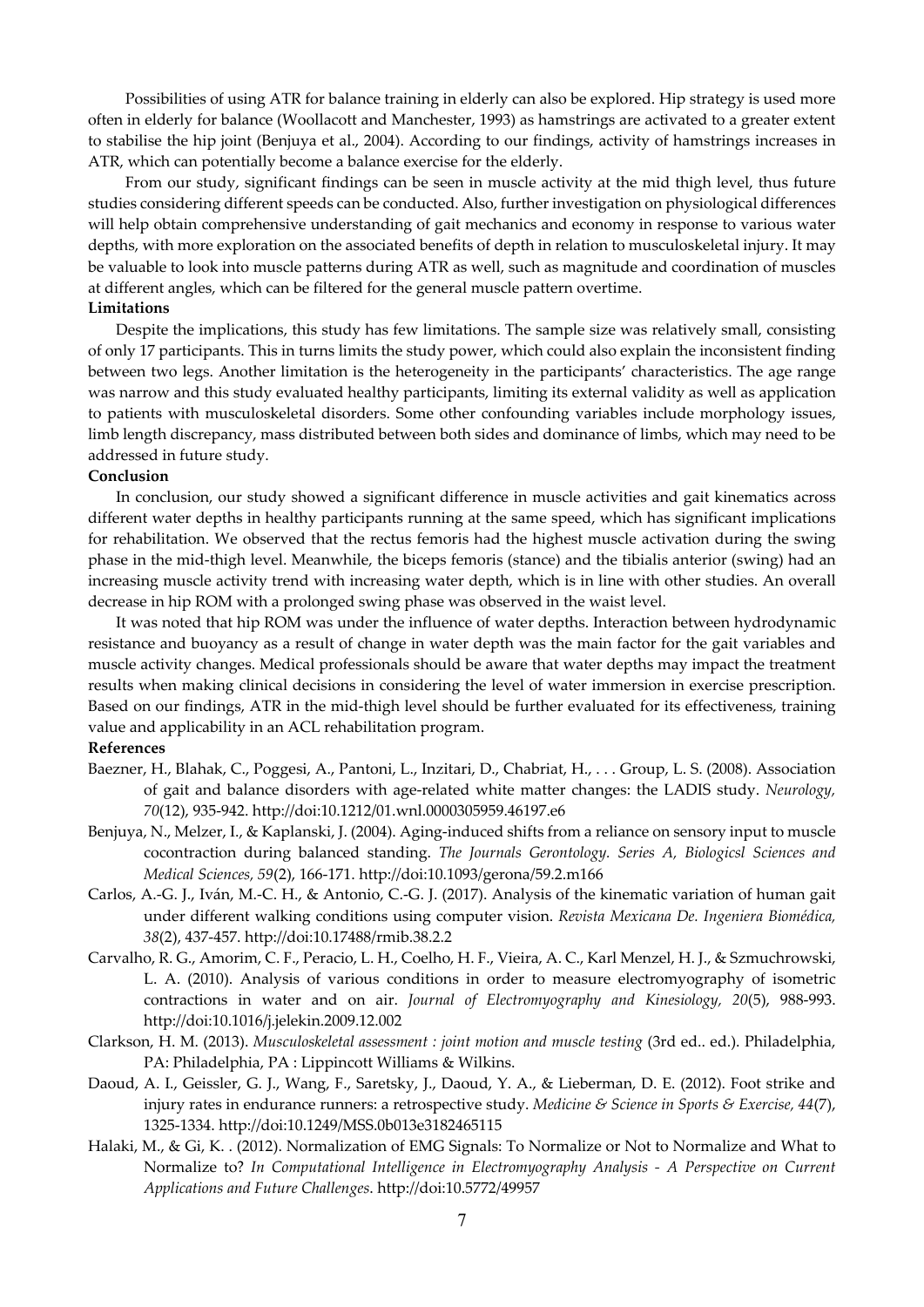Possibilities of using ATR for balance training in elderly can also be explored. Hip strategy is used more often in elderly for balance (Woollacott and Manchester, 1993) as hamstrings are activated to a greater extent to stabilise the hip joint (Benjuya et al., 2004). According to our findings, activity of hamstrings increases in ATR, which can potentially become a balance exercise for the elderly.

From our study, significant findings can be seen in muscle activity at the mid thigh level, thus future studies considering different speeds can be conducted. Also, further investigation on physiological differences will help obtain comprehensive understanding of gait mechanics and economy in response to various water depths, with more exploration on the associated benefits of depth in relation to musculoskeletal injury. It may be valuable to look into muscle patterns during ATR as well, such as magnitude and coordination of muscles at different angles, which can be filtered for the general muscle pattern overtime.

# **Limitations**

Despite the implications, this study has few limitations. The sample size was relatively small, consisting of only 17 participants. This in turns limits the study power, which could also explain the inconsistent finding between two legs. Another limitation is the heterogeneity in the participants' characteristics. The age range was narrow and this study evaluated healthy participants, limiting its external validity as well as application to patients with musculoskeletal disorders. Some other confounding variables include morphology issues, limb length discrepancy, mass distributed between both sides and dominance of limbs, which may need to be addressed in future study.

## **Conclusion**

In conclusion, our study showed a significant difference in muscle activities and gait kinematics across different water depths in healthy participants running at the same speed, which has significant implications for rehabilitation. We observed that the rectus femoris had the highest muscle activation during the swing phase in the mid-thigh level. Meanwhile, the biceps femoris (stance) and the tibialis anterior (swing) had an increasing muscle activity trend with increasing water depth, which is in line with other studies. An overall decrease in hip ROM with a prolonged swing phase was observed in the waist level.

It was noted that hip ROM was under the influence of water depths. Interaction between hydrodynamic resistance and buoyancy as a result of change in water depth was the main factor for the gait variables and muscle activity changes. Medical professionals should be aware that water depths may impact the treatment results when making clinical decisions in considering the level of water immersion in exercise prescription. Based on our findings, ATR in the mid-thigh level should be further evaluated for its effectiveness, training value and applicability in an ACL rehabilitation program.

### **References**

- Baezner, H., Blahak, C., Poggesi, A., Pantoni, L., Inzitari, D., Chabriat, H., . . . Group, L. S. (2008). Association of gait and balance disorders with age-related white matter changes: the LADIS study. *Neurology, 70*(12), 935-942. http://doi:10.1212/01.wnl.0000305959.46197.e6
- Benjuya, N., Melzer, I., & Kaplanski, J. (2004). Aging-induced shifts from a reliance on sensory input to muscle cocontraction during balanced standing. *The Journals Gerontology. Series A, Biologicsl Sciences and Medical Sciences, 59*(2), 166-171. http://doi:10.1093/gerona/59.2.m166
- Carlos, A.-G. J., Iván, M.-C. H., & Antonio, C.-G. J. (2017). Analysis of the kinematic variation of human gait under different walking conditions using computer vision. *Revista Mexicana De. Ingeniera Biomédica, 38*(2), 437-457. http://doi:10.17488/rmib.38.2.2
- Carvalho, R. G., Amorim, C. F., Peracio, L. H., Coelho, H. F., Vieira, A. C., Karl Menzel, H. J., & Szmuchrowski, L. A. (2010). Analysis of various conditions in order to measure electromyography of isometric contractions in water and on air. *Journal of Electromyography and Kinesiology, 20*(5), 988-993. http://doi:10.1016/j.jelekin.2009.12.002
- Clarkson, H. M. (2013). *Musculoskeletal assessment : joint motion and muscle testing* (3rd ed.. ed.). Philadelphia, PA: Philadelphia, PA : Lippincott Williams & Wilkins.
- Daoud, A. I., Geissler, G. J., Wang, F., Saretsky, J., Daoud, Y. A., & Lieberman, D. E. (2012). Foot strike and injury rates in endurance runners: a retrospective study. *Medicine & Science in Sports & Exercise, 44*(7), 1325-1334. http://doi:10.1249/MSS.0b013e3182465115
- Halaki, M., & Gi, K. . (2012). Normalization of EMG Signals: To Normalize or Not to Normalize and What to Normalize to? *In Computational Intelligence in Electromyography Analysis - A Perspective on Current Applications and Future Challenges*. http://doi:10.5772/49957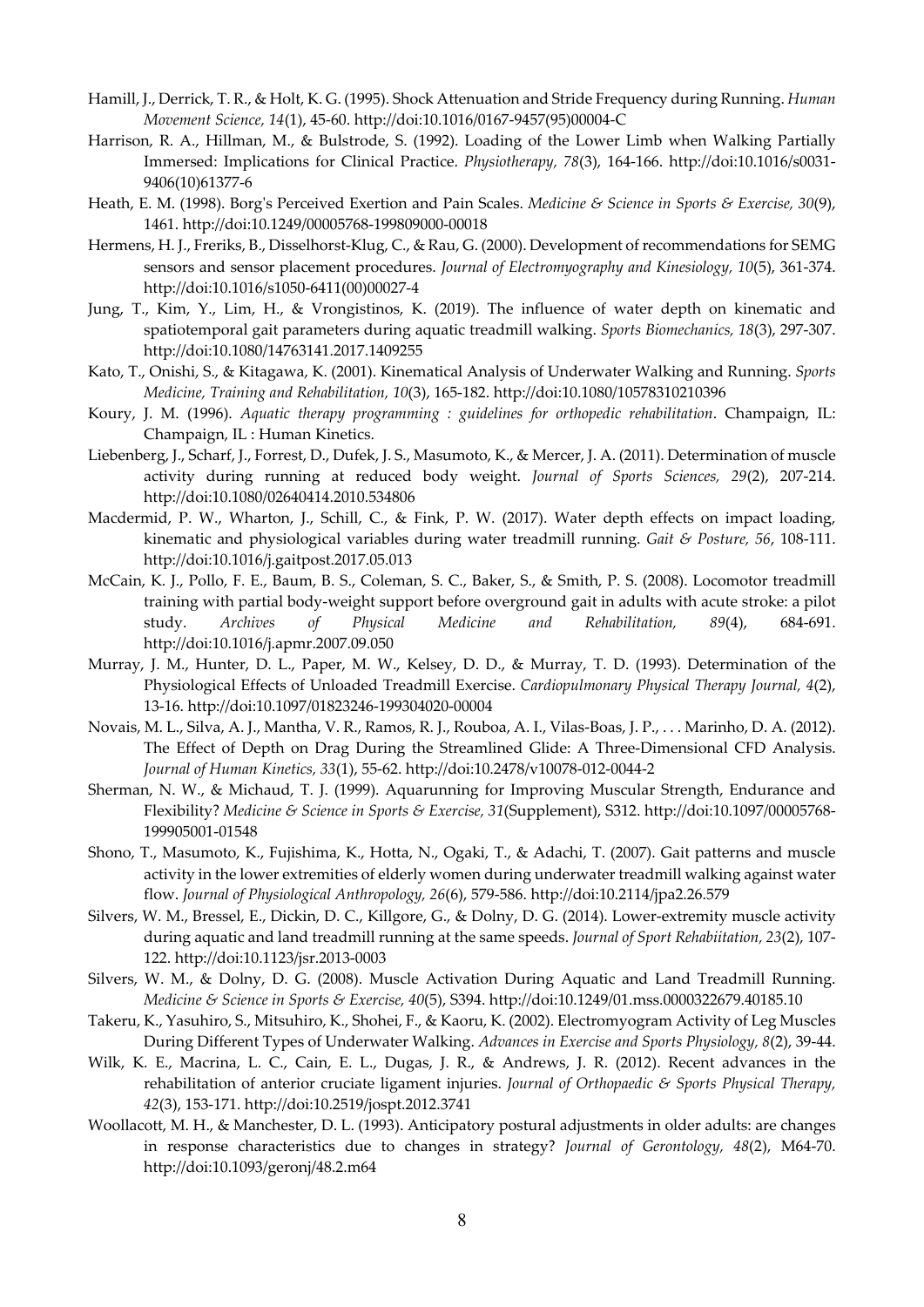- Hamill, J., Derrick, T. R., & Holt, K. G. (1995). Shock Attenuation and Stride Frequency during Running. *Human Movement Science, 14*(1), 45-60. http://doi:10.1016/0167-9457(95)00004-C
- Harrison, R. A., Hillman, M., & Bulstrode, S. (1992). Loading of the Lower Limb when Walking Partially Immersed: Implications for Clinical Practice. *Physiotherapy, 78*(3), 164-166. http://doi:10.1016/s0031- 9406(10)61377-6
- Heath, E. M. (1998). Borg's Perceived Exertion and Pain Scales. *Medicine & Science in Sports & Exercise, 30*(9), 1461. http://doi:10.1249/00005768-199809000-00018
- Hermens, H. J., Freriks, B., Disselhorst-Klug, C., & Rau, G. (2000). Development of recommendations for SEMG sensors and sensor placement procedures. *Journal of Electromyography and Kinesiology, 10*(5), 361-374. http://doi:10.1016/s1050-6411(00)00027-4
- Jung, T., Kim, Y., Lim, H., & Vrongistinos, K. (2019). The influence of water depth on kinematic and spatiotemporal gait parameters during aquatic treadmill walking. *Sports Biomechanics, 18*(3), 297-307. http://doi:10.1080/14763141.2017.1409255
- Kato, T., Onishi, S., & Kitagawa, K. (2001). Kinematical Analysis of Underwater Walking and Running. *Sports Medicine, Training and Rehabilitation, 10*(3), 165-182. http://doi:10.1080/10578310210396
- Koury, J. M. (1996). *Aquatic therapy programming : guidelines for orthopedic rehabilitation*. Champaign, IL: Champaign, IL : Human Kinetics.
- Liebenberg, J., Scharf, J., Forrest, D., Dufek, J. S., Masumoto, K., & Mercer, J. A. (2011). Determination of muscle activity during running at reduced body weight. *Journal of Sports Sciences, 29*(2), 207-214. http://doi:10.1080/02640414.2010.534806
- Macdermid, P. W., Wharton, J., Schill, C., & Fink, P. W. (2017). Water depth effects on impact loading, kinematic and physiological variables during water treadmill running. *Gait & Posture, 56*, 108-111. http://doi:10.1016/j.gaitpost.2017.05.013
- McCain, K. J., Pollo, F. E., Baum, B. S., Coleman, S. C., Baker, S., & Smith, P. S. (2008). Locomotor treadmill training with partial body-weight support before overground gait in adults with acute stroke: a pilot study. *Archives of Physical Medicine and Rehabilitation, 89*(4), 684-691. http://doi:10.1016/j.apmr.2007.09.050
- Murray, J. M., Hunter, D. L., Paper, M. W., Kelsey, D. D., & Murray, T. D. (1993). Determination of the Physiological Effects of Unloaded Treadmill Exercise. *Cardiopulmonary Physical Therapy Journal, 4*(2), 13-16. http://doi:10.1097/01823246-199304020-00004
- Novais, M. L., Silva, A. J., Mantha, V. R., Ramos, R. J., Rouboa, A. I., Vilas-Boas, J. P., . . . Marinho, D. A. (2012). The Effect of Depth on Drag During the Streamlined Glide: A Three-Dimensional CFD Analysis. *Journal of Human Kinetics, 33*(1), 55-62. http://doi:10.2478/v10078-012-0044-2
- Sherman, N. W., & Michaud, T. J. (1999). Aquarunning for Improving Muscular Strength, Endurance and Flexibility? *Medicine & Science in Sports & Exercise, 31*(Supplement), S312. http://doi:10.1097/00005768- 199905001-01548
- Shono, T., Masumoto, K., Fujishima, K., Hotta, N., Ogaki, T., & Adachi, T. (2007). Gait patterns and muscle activity in the lower extremities of elderly women during underwater treadmill walking against water flow. *Journal of Physiological Anthropology, 26*(6), 579-586. http://doi:10.2114/jpa2.26.579
- Silvers, W. M., Bressel, E., Dickin, D. C., Killgore, G., & Dolny, D. G. (2014). Lower-extremity muscle activity during aquatic and land treadmill running at the same speeds. *Journal of Sport Rehabiitation, 23*(2), 107- 122. http://doi:10.1123/jsr.2013-0003
- Silvers, W. M., & Dolny, D. G. (2008). Muscle Activation During Aquatic and Land Treadmill Running. *Medicine & Science in Sports & Exercise, 40*(5), S394. http://doi:10.1249/01.mss.0000322679.40185.10
- Takeru, K., Yasuhiro, S., Mitsuhiro, K., Shohei, F., & Kaoru, K. (2002). Electromyogram Activity of Leg Muscles During Different Types of Underwater Walking. *Advances in Exercise and Sports Physiology, 8*(2), 39-44.
- Wilk, K. E., Macrina, L. C., Cain, E. L., Dugas, J. R., & Andrews, J. R. (2012). Recent advances in the rehabilitation of anterior cruciate ligament injuries. *Journal of Orthopaedic & Sports Physical Therapy, 42*(3), 153-171. http://doi:10.2519/jospt.2012.3741
- Woollacott, M. H., & Manchester, D. L. (1993). Anticipatory postural adjustments in older adults: are changes in response characteristics due to changes in strategy? *Journal of Gerontology, 48*(2), M64-70. http://doi:10.1093/geronj/48.2.m64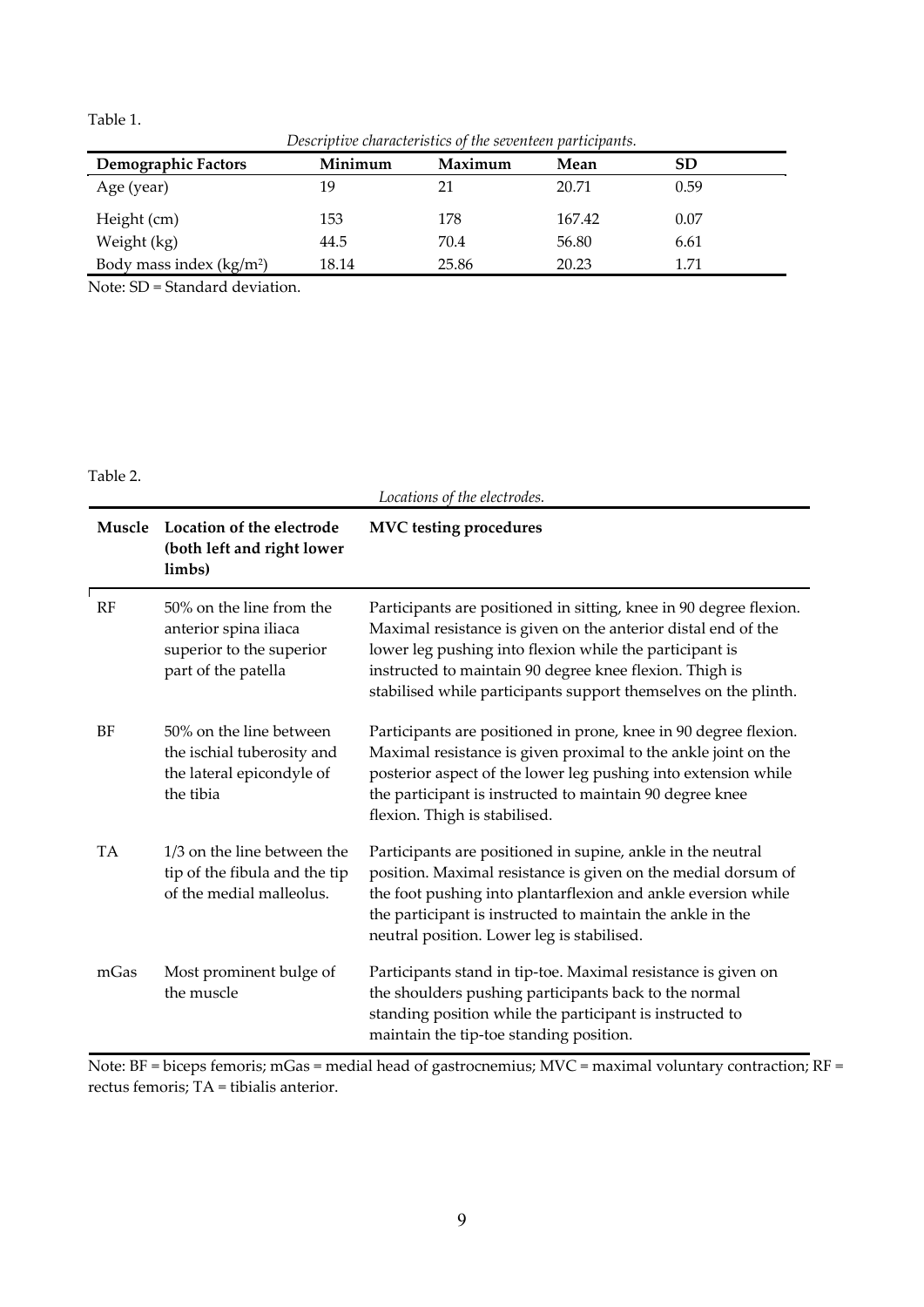Table 1.

*Descriptive characteristics of the seventeen participants.* 

| <b>Demographic Factors</b><br>Minimum | Maximum | Mean   | SD   |  |
|---------------------------------------|---------|--------|------|--|
| 19<br>Age (year)                      | 21      | 20.71  | 0.59 |  |
| 153<br>Height (cm)                    | 178     | 167.42 | 0.07 |  |
| Weight (kg)<br>44.5                   | 70.4    | 56.80  | 6.61 |  |
| Body mass index $(kg/m2)$<br>18.14    | 25.86   | 20.23  | 1.71 |  |

Note: SD = Standard deviation.

Table 2.

|           |                                                                                                      | Locations of the electrodes.                                                                                                                                                                                                                                                                                                 |
|-----------|------------------------------------------------------------------------------------------------------|------------------------------------------------------------------------------------------------------------------------------------------------------------------------------------------------------------------------------------------------------------------------------------------------------------------------------|
| Muscle    | Location of the electrode<br>(both left and right lower<br>limbs)                                    | <b>MVC</b> testing procedures                                                                                                                                                                                                                                                                                                |
| RF        | 50% on the line from the<br>anterior spina iliaca<br>superior to the superior<br>part of the patella | Participants are positioned in sitting, knee in 90 degree flexion.<br>Maximal resistance is given on the anterior distal end of the<br>lower leg pushing into flexion while the participant is<br>instructed to maintain 90 degree knee flexion. Thigh is<br>stabilised while participants support themselves on the plinth. |
| BF        | 50% on the line between<br>the ischial tuberosity and<br>the lateral epicondyle of<br>the tibia      | Participants are positioned in prone, knee in 90 degree flexion.<br>Maximal resistance is given proximal to the ankle joint on the<br>posterior aspect of the lower leg pushing into extension while<br>the participant is instructed to maintain 90 degree knee<br>flexion. Thigh is stabilised.                            |
| <b>TA</b> | 1/3 on the line between the<br>tip of the fibula and the tip<br>of the medial malleolus.             | Participants are positioned in supine, ankle in the neutral<br>position. Maximal resistance is given on the medial dorsum of<br>the foot pushing into plantarflexion and ankle eversion while<br>the participant is instructed to maintain the ankle in the<br>neutral position. Lower leg is stabilised.                    |
| mGas      | Most prominent bulge of<br>the muscle                                                                | Participants stand in tip-toe. Maximal resistance is given on<br>the shoulders pushing participants back to the normal<br>standing position while the participant is instructed to<br>maintain the tip-toe standing position.                                                                                                |

Note: BF = biceps femoris; mGas = medial head of gastrocnemius; MVC = maximal voluntary contraction; RF = rectus femoris; TA = tibialis anterior.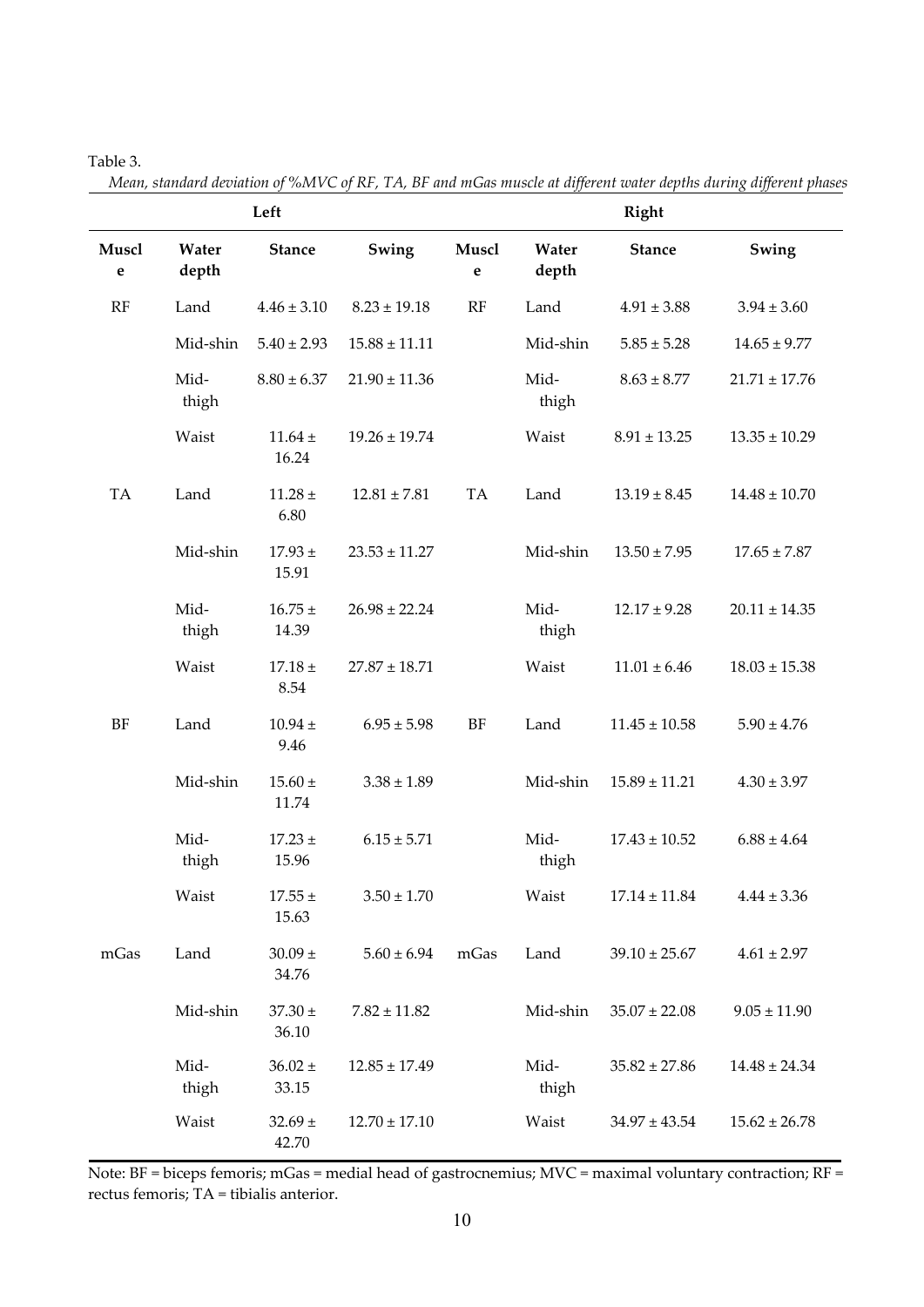# Table 3.

*Mean, standard deviation of %MVC of RF, TA, BF and mGas muscle at different water depths during different phases* 

|            |                | Left                                    |                   | <b>Right</b>         |                   |                   |                   |  |
|------------|----------------|-----------------------------------------|-------------------|----------------------|-------------------|-------------------|-------------------|--|
| Muscl<br>e | Water<br>depth | <b>Stance</b>                           | Swing             | Muscl<br>$\mathbf e$ | Water<br>depth    | <b>Stance</b>     | Swing             |  |
| RF         | Land           | $4.46 \pm 3.10$                         | $8.23 \pm 19.18$  | RF                   | Land              | $4.91 \pm 3.88$   | $3.94 \pm 3.60$   |  |
|            | Mid-shin       | $5.40 \pm 2.93$                         | $15.88 \pm 11.11$ |                      | Mid-shin          | $5.85 \pm 5.28$   | $14.65 \pm 9.77$  |  |
|            | Mid-<br>thigh  | $8.80 \pm 6.37$                         | $21.90 \pm 11.36$ |                      | Mid-<br>thigh     | $8.63 \pm 8.77$   | $21.71 \pm 17.76$ |  |
|            | Waist          | $11.64 \pm$<br>16.24                    | $19.26 \pm 19.74$ |                      | Waist             | $8.91 \pm 13.25$  | $13.35 \pm 10.29$ |  |
| TA         | Land           | $11.28 \pm$<br>6.80                     | $12.81 \pm 7.81$  | TA                   | Land              | $13.19 \pm 8.45$  | $14.48 \pm 10.70$ |  |
|            | Mid-shin       | $17.93 \pm$<br>15.91                    | $23.53 \pm 11.27$ |                      | Mid-shin          | $13.50 \pm 7.95$  | $17.65 \pm 7.87$  |  |
|            | Mid-<br>thigh  | $16.75 \pm$<br>14.39                    | $26.98 \pm 22.24$ |                      | Mid-<br>thigh     | $12.17 \pm 9.28$  | $20.11 \pm 14.35$ |  |
|            | Waist          | $17.18 \pm$<br>8.54                     | $27.87 \pm 18.71$ |                      | Waist             | $11.01 \pm 6.46$  | $18.03 \pm 15.38$ |  |
| <b>BF</b>  | Land           | $10.94 \pm$<br>9.46                     | $6.95 \pm 5.98$   | <b>BF</b>            | Land              | $11.45 \pm 10.58$ | $5.90 \pm 4.76$   |  |
|            | Mid-shin       | $15.60 \pm$<br>$3.38 \pm 1.89$<br>11.74 |                   | Mid-shin             | $15.89 \pm 11.21$ | $4.30 \pm 3.97$   |                   |  |
|            | Mid-<br>thigh  | $17.23 \pm$<br>15.96                    | $6.15 \pm 5.71$   |                      | Mid-<br>thigh     | $17.43 \pm 10.52$ | $6.88 \pm 4.64$   |  |
|            | Waist          | $17.55 \pm$<br>15.63                    | $3.50 \pm 1.70$   |                      | Waist             | $17.14 \pm 11.84$ | $4.44 \pm 3.36$   |  |
| mGas       | Land           | $30.09\,\pm\,$<br>34.76                 | $5.60 \pm 6.94$   | mGas                 | Land              | $39.10 \pm 25.67$ | $4.61 \pm 2.97$   |  |
|            | Mid-shin       | $37.30 \pm$<br>36.10                    | $7.82 \pm 11.82$  |                      | Mid-shin          | $35.07 \pm 22.08$ | $9.05 \pm 11.90$  |  |
|            | Mid-<br>thigh  | $36.02\,\pm\,$<br>33.15                 | $12.85 \pm 17.49$ |                      | Mid-<br>thigh     | $35.82 \pm 27.86$ | $14.48 \pm 24.34$ |  |
|            | Waist          | $32.69 \pm$<br>42.70                    | $12.70 \pm 17.10$ |                      | Waist             | $34.97 \pm 43.54$ | $15.62 \pm 26.78$ |  |

Note: BF = biceps femoris; mGas = medial head of gastrocnemius; MVC = maximal voluntary contraction; RF = rectus femoris; TA = tibialis anterior.